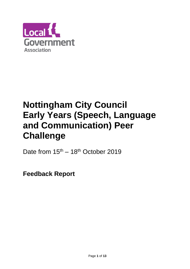

# **Nottingham City Council Early Years (Speech, Language and Communication) Peer Challenge**

Date from  $15<sup>th</sup> - 18<sup>th</sup>$  October 2019

**Feedback Report**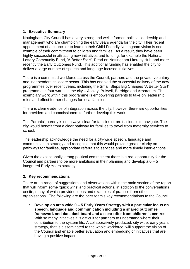## **1. Executive Summary**

Nottingham City Council has a very strong and well informed political leadership and management who are championing the early years agenda for the city. Their recent appointment of a councillor to lead on their Child Friendly Nottingham vision is one example of their commitment to children and families. As a result, they have been highly successful in attracting new initiatives and funding, for example the National Lottery Community Fund, 'A Better Start', Read on Nottingham Literacy Hub and more recently the Early Outcomes Fund. This additional funding has enabled the city to deliver a large number of speech and language focused initiatives.

There is a committed workforce across the Council, partners and the private, voluntary and independent childcare sector. This has enabled the successful delivery of the new programmes over recent years, including the Small Steps Big Changes 'A Better Start' programme in four wards in the city – Aspley, Bulwell, Berridge and Arboretum. The exemplary work within this programme is empowering parents to take on leadership roles and effect further changes for local families.

There is clear evidence of integration across the city, however there are opportunities for providers and commissioners to further develop this work.

The Parents' journey is not always clear for families or professionals to navigate. The city would benefit from a clear pathway for families to travel from maternity services to school.

The leadership acknowledge the need for a city-wide speech, language and communication strategy and recognise that this would provide greater clarity on pathways for families, appropriate referrals to services and more timely interventions.

Given the exceptionally strong political commitment there is a real opportunity for the Council and partners to be more ambitious in their planning and develop a  $0 - 5$ integrated Early Years strategy.

## **2. Key recommendations**

There are a range of suggestions and observations within the main section of the report that will inform some 'quick wins' and practical actions, in addition to the conversations onsite, many of which provided ideas and examples of practice from other organisations. The following are the peer team's key recommendations to the Council:

• **Develop an area wide 0 – 5 Early Years Strategy with a particular focus on speech, language and communication including a shared outcomes framework and data dashboard and a clear offer from children's centres** With so many initiatives it is difficult for partners to understand where their contribution to the system fits. A collaboratively produced, city wide, early years strategy, that is disseminated to the whole workforce, will support the vision of the Council and enable better evaluation and embedding of initiatives that are having a positive impact.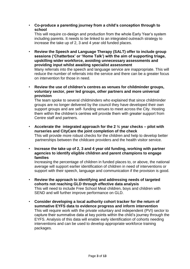• **Co-produce a parenting journey from a child's conception through to school**

This will require co-design and production from the whole Early Year's system including parents. It needs to be linked to an integrated outreach strategy to increase the take up of 2, 3 and 4 year old funded places.

• **Review the Speech and Language Therapy (SALT) offer to include group sessions ('Chatterbox' or 'Home Talk') with the aim of supporting triage, upskilling wider workforce, avoiding unnecessary assessments and providing input whilst awaiting specialist assessment**

Many referrals into the speech and language service are inappropriate. This will reduce the number of referrals into the service and there can be a greater focus on intervention for those in need.

• **Review the use of children's centres as venues for childminder groups, voluntary sector, peer led groups, other partners and more universal provision**

The team spoke to several childminders who explained that since childminder groups are no longer delivered by the council they have developed their own support groups and are self- funding venues to meet across the City. Hosting them within the children's centres will provide them with greater support from Centre staff and partners.

- **Accelerate the integrated approach for the 2 ½ year checks – pilot with nurseries and CityCare the joint completion of the check** This will provide more robust checks for the children and help to develop better partnerships between the childcare providers and the health visitor service.
- **Increase the take up of 2, 3 and 4 year old funding, working with partner agencies to identify eligible children and parent champions to engage families**

Increasing the percentage of children in funded places to, or above, the national average will support earlier identification of children in need of interventions or support with their speech, language and communication if the provision is good.

- **Review the approach to identifying and addressing needs of targeted cohorts not reaching GLD through effective data analysis** This will need to include Free School Meal children, boys and children with SEND and will further improve performance on GLD.
- **Consider developing a local authority cohort tracker for the return of summative EYFS data to evidence progress and inform intervention** This will require work with the private voluntary and independent (PVI) sector to capture their summative data at key points within the child's journey through the EYFS. Analysis of this data will enable early identification of cohorts needing interventions and can be used to develop appropriate workforce training packages.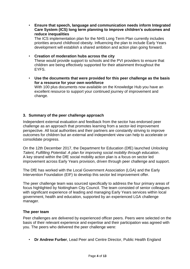• **Ensure that speech, language and communication needs inform Integrated Care System (ICS) long term planning to improve children's outcomes and reduce inequalities** 

The ICS implementation plan for the NHS Long Term Plan currently includes priorities around childhood obesity. Influencing the plan to include Early Years development will establish a shared ambition and action plan going forward.

- **Creation of moderation hubs across the city** These would provide support to schools and the PVI providers to ensure that children are being effectively supported for their attainment throughout the EYFS.
- **Use the documents that were provided for this peer challenge as the basis for a resource for your own workforce** With 100 plus documents now available on the Knowledge Hub you have an excellent resource to support your continued journey of improvement and change.

## **3. Summary of the peer challenge approach**

Independent external evaluation and feedback from the sector has endorsed peer challenge as an approach that promotes learning from a sector-led improvement perspective. All local authorities and their partners are constantly striving to improve outcomes for children but an external and independent view can help to accelerate or consolidate progress.

On the 12th December 2017, the Department for Education (DfE) launched *Unlocking Talent, Fulfilling Potential: A plan for improving social mobility through education*. A key strand within the DfE social mobility action plan is a focus on sector led improvement across Early Years provision, driven through peer challenge and support.

The DfE has worked with the Local Government Association (LGA) and the Early Intervention Foundation (EIF) to develop this sector led improvement offer.

The peer challenge team was sourced specifically to address the four primary areas of focus highlighted by Nottingham City Council. The team consisted of senior colleagues with significant experience of leading and managing Early Years services within local government, health and education, supported by an experienced LGA challenge manager.

#### **The peer team**

Peer challenges are delivered by experienced officer peers. Peers were selected on the basis of their relevant experience and expertise and their participation was agreed with you. The peers who delivered the peer challenge were:

• **Dr Andrew Furber**, Lead Peer and Centre Director, Public Health England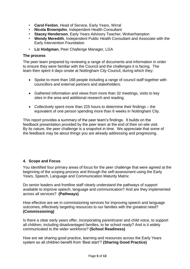- **Carol Fenlon**, Head of Service, Early Years, Wirral
- **Nicola Brownjohn**, Independent Health Consultant
- **Stacey Henderson**, Early Years Advisory Teacher, Wolverhampton
- **Wendy Meredith**, Independent Public Health Consultant and Associate with the Early Intervention Foundation
- **Liz Hodgman**, Peer Challenge Manager, LGA

#### **The process**

The peer team prepared by reviewing a range of documents and information in order to ensure they were familiar with the Council and the challenges it is facing. The team then spent 4 days onsite at Nottingham City Council, during which they:

- Spoke to more than 168 people including a range of council staff together with councillors and external partners and stakeholders.
- Gathered information and views from more than 32 meetings, visits to key sites in the area and additional research and reading.
- Collectively spent more than 225 hours to determine their findings the equivalent of one person spending more than 6 weeks in Nottingham City.

This report provides a summary of the peer team's findings. It builds on the feedback presentation provided by the peer team at the end of their on-site visit. By its nature, the peer challenge is a snapshot in time. We appreciate that some of the feedback may be about things you are already addressing and progressing.

#### **4. Scope and Focus**

You identified four primary areas of focus for the peer challenge that were agreed at the beginning of the scoping process and through the self-assessment using the Early Years, Speech, Language and Communication Maturity Matrix:

Do senior leaders and frontline staff clearly understand the pathways of support available to improve speech, language and communication? And are they implemented across all services?**(Pathways)**

How effective are we in commissioning services for improving speech and language outcomes, effectively targeting resources to our families with the greatest need? **(Commissioning)**

Is there a clear early years offer, incorporating parent/carer and child voice, to support all children, including disadvantaged families, to be school ready? And is it widely communicated to the wider workforce? **(School Readiness)**

How are we sharing good practice, learning and resources across the Early Years system so all children benefit from 'Best start'? **(Sharing Good Practice)**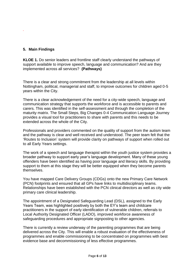## **5. Main Findings**

*.* 

**KLOE 1.** Do senior leaders and frontline staff clearly understand the pathways of support available to improve speech, language and communication? And are they implemented across all services?**(Pathways)**

There is a clear and strong commitment from the leadership at all levels within Nottingham, political, managerial and staff, to improve outcomes for children aged 0-5 years within the City.

There is a clear acknowledgement of the need for a city-wide speech, language and communication strategy that supports the workforce and is accessible to parents and carers. This was identified in the self-assessment and through the completion of the maturity matrix. The Small Steps, Big Changes 0-4 Communication Language Journey provides a visual tool for practitioners to share with parents and this needs to be extended across the whole of the City.

Professionals and providers commented on the quality of support from the autism team and the pathway is clear and well received and understood. The peer team felt that the 'Routes to Inclusion' system will provide clarity on pathways of support when rolled out to all Early Years settings.

The work of a speech and language therapist within the youth justice system provides a broader pathway to support early year's language development. Many of these young offenders have been identified as having poor language and literacy skills. By providing support to them at this stage they will be better equipped when they become parents themselves.

You have mapped Care Delivery Groups (CDGs) onto the new Primary Care Network (PCN) footprints and ensured that all GPs have links to multidisciplinary teams. Relationships have been established with the PCN clinical directors as well as city wide primary care clinical leadership.

The appointment of a Designated Safeguarding Lead (DSL), assigned to the Early Years Team, was highlighted positively by both the EY's team and childcare practitioners in the support of early identification of vulnerable children, referrals to Local Authority Designated Officer (LADO), improved workforce awareness of safeguarding procedures and appropriate signposting to other agencies.

There is currently a review underway of the parenting programmes that are being delivered across the City. This will enable a robust evaluation of the effectiveness of programmes and enable commissioning to be concentrated on programmes with best evidence base and decommissioning of less effective programmes.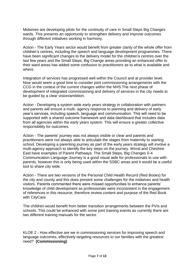Midwives are developing pilots for the continuity of care in Small Steps Big Changes wards. This presents an opportunity to strengthen delivery and improve outcomes through different initiatives working in harmony.

Action - The Early Years sector would benefit from greater clarity of the whole offer from children's centres, including the speech and language development programmes. There have been significant changes to the delivery model for the children's centres over the last few years and the Small Steps, Big Change areas providing an enhanced offer to their ward areas has added some confusion to practitioners as to what is available and where.

Integration of services has progressed well within the Council and at provider level. Now would seem a good time to consider joint commissioning arrangements with the CCG in the context of the current changes within the NHS.The next phase of development of integrated commissioning and delivery of services in the city needs to be guided by a clear vision/ambition.

Action - Developing a system wide early years strategy in collaboration with partners and parents will ensure a multi- agency response to planning and delivery of early year's services, including speech, language and communication. This will need to be supported with a shared outcome framework and data dashboard that includes data from all agencies within the early years system. This will ensure a greater collective responsibility for outcomes.

Action - The parents' journey was not always visible or clear and parents and practitioners were not always able to articulate the stages from maternity to starting school. Developing a parenting journey as part of the early years strategy will involve a multi-agency approach to identify the key steps on the journey. Wirral and Cheshire East have examples of Parent Pathways. The Small Steps, Big Changes 0-4 Communication Language Journey is a good visual aide for professionals to use with parents, however this is only being used within the SSBC areas and it would be a useful tool to share city wide.

Action - There are two versions of the Personal Child Health Record (Red Books) for the city and county and this does present some challenges for the midwives and health visitors. Parents commented there were missed opportunities to enhance parents' knowledge of child development as professionals were inconsistent in the engagement of references in this resource, therefore review content and purpose of the Red Book with CityCare

The children would benefit from better transition arrangements between the PVIs and schools. This could be enhanced with some joint training events as currently there are two different training manuals for the sector.

KLOE 2 - How effective are we in commissioning services for improving speech and language outcomes, effectively targeting resources to our families with the greatest need? **(Commissioning)**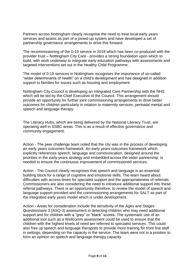Partners across Nottingham clearly recognise the need to treat local early years services and assets as part of a joined-up system and have developed a set of partnership governance arrangements to drive this forward.

The recommissioning of the 0-19 service in 2018 which has been co-produced with the provider trust – Nottingham City Care - provides a strong foundation upon which to build, with work underway to integrate early education pathways with assessments and targeted interventions set out in the Healthy Child Programme.

The model of 0-19 services in Nottingham recognises the importance of so-called "wider determinants of health" on a child's development and has designed in addition support to families for issues such as housing and employment.

Nottingham City Council is developing an Integrated Care Partnership with the NHS which will be led by the Chief Executive of the Council. This arrangement should provide an opportunity for further joint commissioning arrangements to drive better outcomes for children particularly in relation to maternity services, perinatal mental and speech and language therapy.

The Literacy Hubs, which are being delivered by the National Literacy Trust, are operating well in SSBC areas. This is as a result of effective governance and community engagement.

Action - The peer challenge team noted that the city was in the process of developing an early years outcomes framework. An early years outcomes framework which explicitly references speech, language and communication, designed around the priorities in the early years strategy and embedded across the wider partnership, is needed to ensure the continuous improvement of commissioned services.

Action - The Council clearly recognises that speech and language is an essential building block for a range of cognitive and emotional skills. The team heard about difficulties with access times for specialist support and the appropriateness of referrals. Commissioners are also considering the need to introduce additional support into these referral pathways. There is an opportunity therefore, to review the model of speech and language support provided and the commissioning arrangements for SALT as part of the integrated early years model which is under development.

Action - Areas for consideration include the sensitivity of the Ages and Stages Questionnaire 3 (ASQ-3) assessment in detecting children who may need additional support and for children with a "grey" or "black" scores. The systematic use of an additional tool such as a Wellcomm assessment could be used to ensure that the children with the highest levels of need are referred to specialist services. This could also free up speech and language therapists to provide more training for front line staff in settings, depending on the capacity in the service. The team were not in a position to form an opinion on speech and language therapy capacity.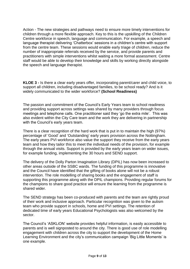Action - The new strategies and pathways need to ensure more timely interventions for children through a more flexible approach. Key to this is the upskilling of the Children Centre workforce in speech, language and communication. For example, a speech and language therapist delivering 'Chatterbox' sessions in a children's centre with support from the centre team. These sessions would enable early triage of children, reduce the number of inappropriate referrals received by the service, and provide parents and practitioners with simple interventions whilst waiting a more formal assessment. Centre staff would be able to develop their knowledge and skills by working directly alongside the speech and language therapist.

**KLOE 3 -** Is there a clear early years offer, incorporating parent/carer and child voice, to support all children, including disadvantaged families, to be school ready? And is it widely communicated to the wider workforce? **(School Readiness)**

The passion and commitment of the Council's Early Years team to school readiness and providing support across settings was shared by many providers through focus meetings and telephone calls. One practitioner said they 'go the extra mile'. This was also evident within the City Care team and the work they are delivering in partnership with the Council's early years team.

There is a clear recognition of the hard work that is put in to maintain the high (97%) percentage of 'Good' and 'Outstanding' early years provision across the Nottingham. The early years PVI workforce also value the support they receive from the early years team and how they tailor this to meet the individual needs of the provision, for example through the annual visits. Support is provided by the early years team on wider issues, for example funding, implementing the 30 hours and SEND support.

The delivery of the Dolly Parton Imagination Library (DPIL) has now been increased to other areas outside of the SSBC wards. The funding of this programme is innovative and the Council have identified that the gifting of books alone will not be a robust intervention. The role modelling of sharing books and the engagement of staff is supporting this programme along with the DPIL champions. Providing regular forums for the champions to share good practice will ensure the learning from the programme is shared wider.

The SEND strategy has been co-produced with parents and the team are rightly proud of their work and inclusive approach. Particular recognition was given to the autism team who provide support in schools, home and PVI settings. The retention of dedicated time of early years Educational Psychologists was also welcomed by the sector.

The Council's 'ASKLiON' website provides helpful information, is easily accessible to parents and is well signposted to around the city. There is good use of role modelling engagement with children across the city to support the development of the Home Learning Environment and the city's communication campaign 'Big Little Moments' is one example.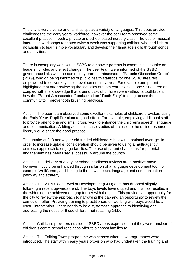The city is very diverse and families speak a variety of languages. This does provide challenges to the early years workforce, however the peer team observed some excellent practice in both a private and school based nursery class. The use of musical interaction workshops repeated twice a week was supporting children who had little or no English to learn simple vocabulary and develop their language skills through songs and activities.

There is exemplary work within SSBC to empower parents in communities to take on leadership roles and effect change. The peer team were informed of the SSBC governance links with the community parent ambassadors "Parents Obsession Group" (POG), who on being informed of public health statistics for one SSBC area felt empowered to deliver key child development initiatives. For example one parent highlighted that after reviewing the statistics of tooth extractions in one SSBC area and coupled with the knowledge that around 52% of children were without a toothbrush, how the "Parent Ambassadors" embarked on "Tooth Fairy" training across the community to improve tooth brushing practices.

Action - The peer team observed some excellent examples of childcare providers using the Early Years Pupil Premium to good effect. For example, employing additional staff to provide one to one and small group work to enhance the children's speech, language and communication. Adding additional case studies of this use to the online resource library would share the good practice.

The uptake of 2, 3 and 4 year old funded childcare is below the national average. In order to increase uptake, consideration should be given to using a multi-agency outreach approach to engage families. The use of parent champions for parental engagement has been used successfully around the country.

Action - The delivery of 3  $\frac{1}{2}$  year school readiness reviews are a positive move, however it could be enhanced through inclusion of a language development tool, for example WellComm, and linking to the new speech, language and communication pathway and strategy.

Action - The 2019 Good Level of Development (GLD) data has dropped slightly following a recent upwards trend. The boys levels have dipped and this has resulted in the widening the achievement gap further with the girls. This provides an opportunity for the city to review the approach to narrowing the gap and an opportunity to review the curriculum offer. Providing training to practitioners on working with boys would be a useful intervention. There needs to be a systematic approach to identifying and addressing the needs of those children not reaching GLD.

Action - Childcare providers outside of SSBC areas expressed that they were unclear of children's centre school readiness offer to signpost families to.

Action - The Talking Twos programme was ceased when new programmes were introduced. The staff within early years provision who had undertaken the training and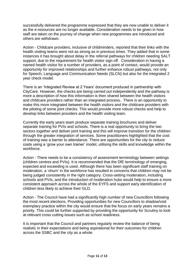successfully delivered the programme expressed that they are now unable to deliver it as the e-resources are no longer available. Consideration needs to be given in how staff are taken on the journey of change when new programmes are introduced and others are withdrawn.

Action - Childcare providers, inclusive of childminders, reported that their links with the health visiting teams were not as strong as in previous times. They added that in some instances it has brought about delay in the referral pathways for children needing SALT support, due to the requirement for health visitor sign off. Consideration in having a named health visitor for a number of providers, as a point of contact, would provide an opportunity for improved relationships and further enhance robust pathways, not only for Speech, Language and Communication Needs (SLCN) but also for the integrated 2 year check model.

There is an 'Integrated Review at 2 Years' document produced in partnership with CityCare. However, the checks are being carried out independently and the pathway is more a description of how this information is then shared between the heatlh visitors and childcare providers rather than an integrated process.. There is an opportunity to make this more integrated between the health visitors and the childcare providers with the piloting of some joint checks. This would provide more robust checks and help to develop links between providers and the health visiting team.

Currently the early years team produce separate training brochures and deliver separate training for PVIs and schools. There is a real opportunity to bring the two sectors together and deliver joint training and this will improve transition for the children through the greater integration of services. Some practitioners highlighted that the cost of training was a barrier to attendance. There are opportunities for the city to reduce costs using a 'grow your own trainer' model, utilising the skills and knowledge within the workforce.

Action - There needs to be a consistency of assessment terminology between settings (children centres and PVIs). It is recommended that the DfE terminology of emerging, expected and exceeding is used. Although there has been significant staff training on moderation, a 'churn' in the workforce has resulted in concerns that children may not be being judged consistently in the right category. Cross-setting moderation, including schools and PVIs, and the introduction of moderation hubs would help to ensure a more consistent approach across the whole of the EYFS and support early identification of children less likely to achieve their GLD.

Action - The Council have had a significantly high number of new Councillors following the most recent elections. Providing opportunities for new Councillors to shadow/visit exemplary practice within the city would ensure that the focus on early years remains a priority. This could be further supported by providing the opportunity for Scrutiny to look at relevant cross cutting issues such as school readiness.

It is important that the Council and partners regularly review the balance of being realistic in their expectations and being aspirational for their outcomes for children across the SSBC and the city as a whole.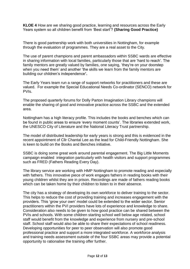**KLOE 4** How are we sharing good practice, learning and resources across the Early Years system so all children benefit from 'Best start'? **(Sharing Good Practice)**

There is good partnership work with both universities in Nottingham, for example through the evaluation of programmes. They are a real asset to the City.

The use of parent champions and parent ambassadors within SSBC wards are effective in sharing information with local families, particularly those that are 'hard to reach'. The family mentors are greatly valued by families, one saying, 'they're on your doorstep when you need them' and another 'the skills we learn from the family mentors are building our children's independence**'.**

The Early Years team run a range of support networks for practitioners and these are valued. For example the Special Educational Needs Co-ordinator (SENCO) network for PVIs.

The proposed quarterly forums for Dolly Parton Imagination Library champions will enable the sharing of good and innovative practice across the SSBC and the extended area.

Nottingham has a high literacy profile. This includes the books and benches which can be found in public areas to ensure 'every moment counts'. The libraries extended work, the UNESCO City of Literature and the National Literacy Trust partnership.

The model of distributed leadership for early years is strong and this is evidenced in the recent appointment of Cllr Chantal Lee as the lead for Child-Friendly Nottingham. She is keen to build on the Books and Benches initiative.

SSBC is doing some great work around parental engagement. The Big Little Moments campaign enabled integration particularly with health visitors and support programmes such as FRED (Fathers Reading Every Day).

The library service are working with HMP Nottingham to promote reading and especially with fathers. This innovative piece of work engages fathers in reading books with their young children whilst they are in prison. Recordings are made of fathers reading books which can be taken home by their children to listen to in their absence.

The city has a strategy of developing its own workforce to deliver training to the sector. This helps to reduce the cost of providing training and increases engagement with the providers. This 'grow your own' model could be extended to the wider sector. Senior practitioners within the PVI providers have lots of experience and knowledge to share. Consideration also needs to be given to how good practice can be shared between the PVIs and schools. With some children starting school well below age related, school staff would benefit from the knowledge and experience from nursery and pre-school staff. School staff would also be able to share their expectations of school readiness. Developing opportunities for peer to peer observation will also promote good professional practice and support a more integrated workforce. A workforce analysis and training needs assessment outside of the four SSBC areas may provide a potential opportunity to rationalise the training offer further.